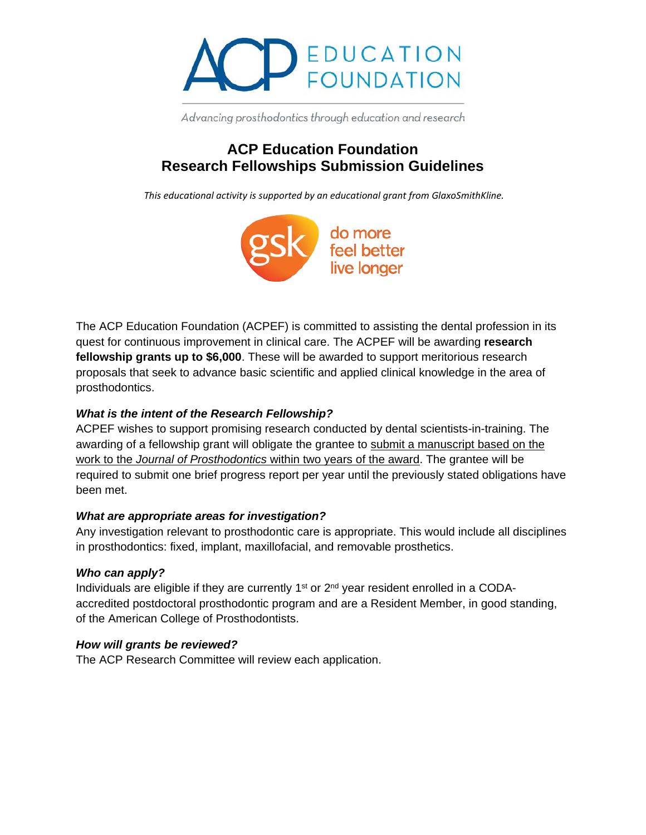

Advancing prosthodontics through education and research

# **ACP Education Foundation Research Fellowships Submission Guidelines**

*This educational activity is supported by an educational grant from GlaxoSmithKline.*



The ACP Education Foundation (ACPEF) is committed to assisting the dental profession in its quest for continuous improvement in clinical care. The ACPEF will be awarding **research fellowship grants up to \$6,000**. These will be awarded to support meritorious research proposals that seek to advance basic scientific and applied clinical knowledge in the area of prosthodontics.

# *What is the intent of the Research Fellowship?*

ACPEF wishes to support promising research conducted by dental scientists-in-training. The awarding of a fellowship grant will obligate the grantee to submit a manuscript based on the work to the *Journal of Prosthodontics* within two years of the award. The grantee will be required to submit one brief progress report per year until the previously stated obligations have been met.

# *What are appropriate areas for investigation?*

Any investigation relevant to prosthodontic care is appropriate. This would include all disciplines in prosthodontics: fixed, implant, maxillofacial, and removable prosthetics.

### *Who can apply?*

Individuals are eligible if they are currently  $1<sup>st</sup>$  or  $2<sup>nd</sup>$  year resident enrolled in a CODAaccredited postdoctoral prosthodontic program and are a Resident Member, in good standing, of the American College of Prosthodontists.

### *How will grants be reviewed?*

The ACP Research Committee will review each application.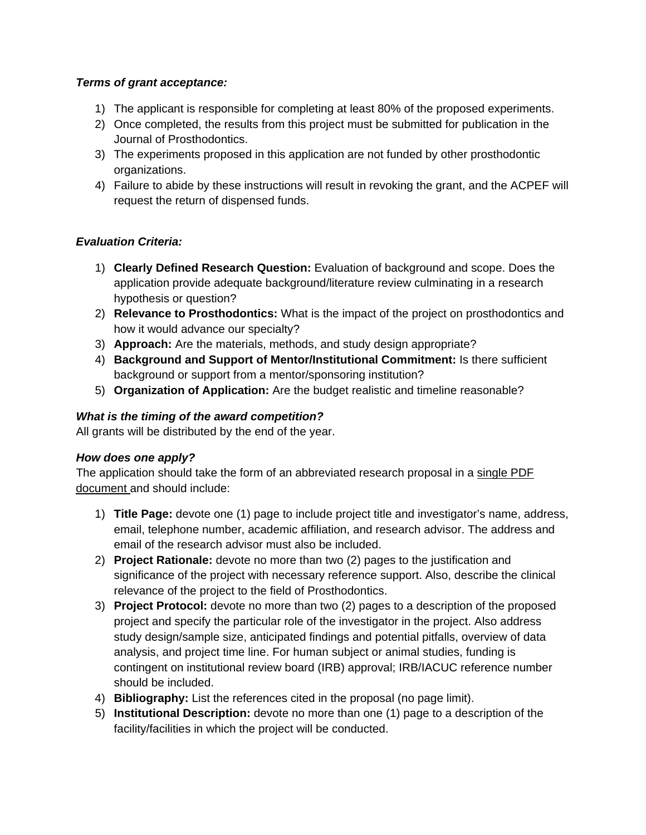## *Terms of grant acceptance:*

- 1) The applicant is responsible for completing at least 80% of the proposed experiments.
- 2) Once completed, the results from this project must be submitted for publication in the Journal of Prosthodontics.
- 3) The experiments proposed in this application are not funded by other prosthodontic organizations.
- 4) Failure to abide by these instructions will result in revoking the grant, and the ACPEF will request the return of dispensed funds.

# *Evaluation Criteria:*

- 1) **Clearly Defined Research Question:** Evaluation of background and scope. Does the application provide adequate background/literature review culminating in a research hypothesis or question?
- 2) **Relevance to Prosthodontics:** What is the impact of the project on prosthodontics and how it would advance our specialty?
- 3) **Approach:** Are the materials, methods, and study design appropriate?
- 4) **Background and Support of Mentor/Institutional Commitment:** Is there sufficient background or support from a mentor/sponsoring institution?
- 5) **Organization of Application:** Are the budget realistic and timeline reasonable?

## *What is the timing of the award competition?*

All grants will be distributed by the end of the year.

### *How does one apply?*

The application should take the form of an abbreviated research proposal in a single PDF document and should include:

- 1) **Title Page:** devote one (1) page to include project title and investigator's name, address, email, telephone number, academic affiliation, and research advisor. The address and email of the research advisor must also be included.
- 2) **Project Rationale:** devote no more than two (2) pages to the justification and significance of the project with necessary reference support. Also, describe the clinical relevance of the project to the field of Prosthodontics.
- 3) **Project Protocol:** devote no more than two (2) pages to a description of the proposed project and specify the particular role of the investigator in the project. Also address study design/sample size, anticipated findings and potential pitfalls, overview of data analysis, and project time line. For human subject or animal studies, funding is contingent on institutional review board (IRB) approval; IRB/IACUC reference number should be included.
- 4) **Bibliography:** List the references cited in the proposal (no page limit).
- 5) **Institutional Description:** devote no more than one (1) page to a description of the facility/facilities in which the project will be conducted.